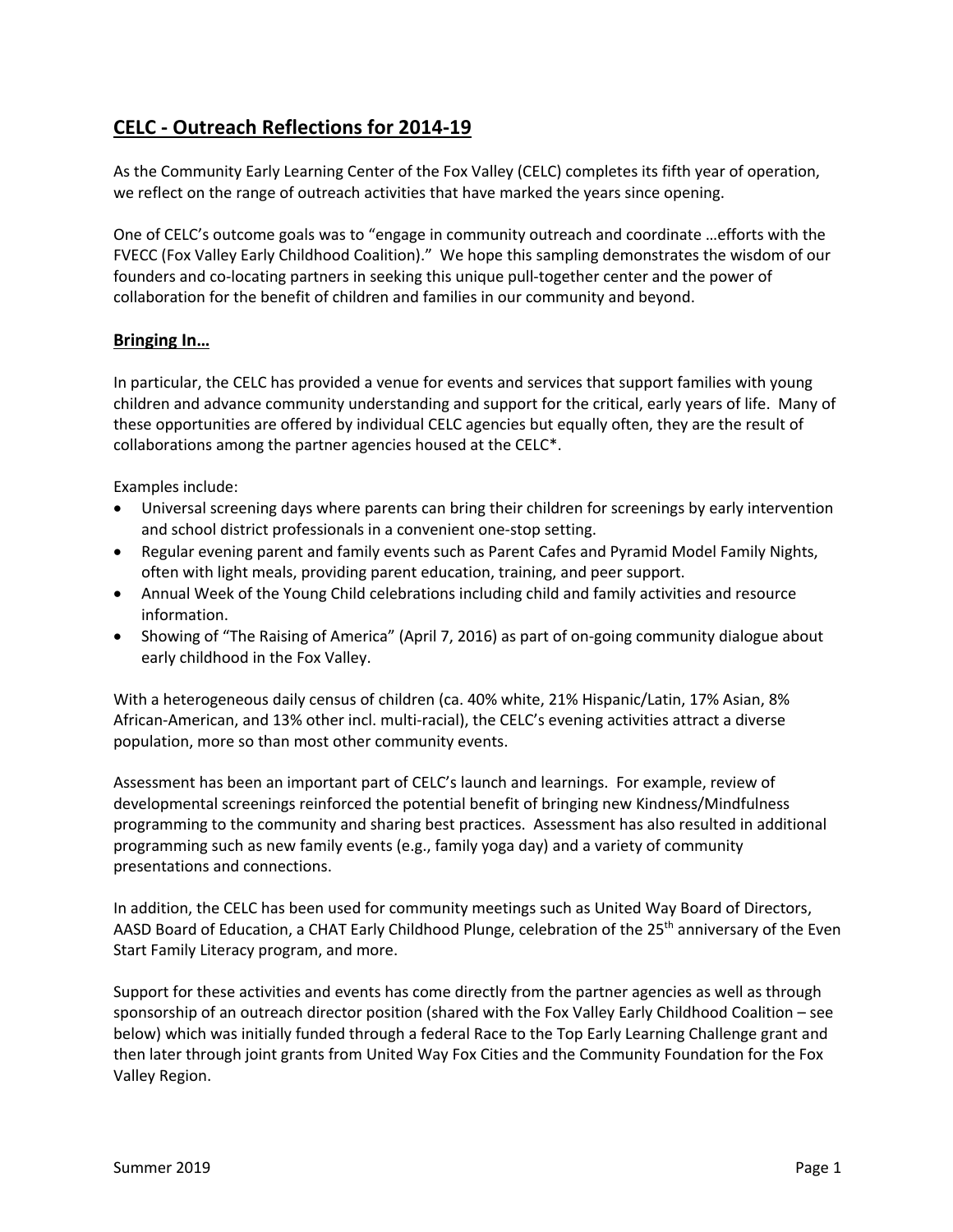# **CELC - Outreach Reflections for 2014-19**

As the Community Early Learning Center of the Fox Valley (CELC) completes its fifth year of operation, we reflect on the range of outreach activities that have marked the years since opening.

One of CELC's outcome goals was to "engage in community outreach and coordinate …efforts with the FVECC (Fox Valley Early Childhood Coalition)." We hope this sampling demonstrates the wisdom of our founders and co-locating partners in seeking this unique pull-together center and the power of collaboration for the benefit of children and families in our community and beyond.

## **Bringing In…**

In particular, the CELC has provided a venue for events and services that support families with young children and advance community understanding and support for the critical, early years of life. Many of these opportunities are offered by individual CELC agencies but equally often, they are the result of collaborations among the partner agencies housed at the CELC\*.

Examples include:

- Universal screening days where parents can bring their children for screenings by early intervention and school district professionals in a convenient one-stop setting.
- Regular evening parent and family events such as Parent Cafes and Pyramid Model Family Nights, often with light meals, providing parent education, training, and peer support.
- Annual Week of the Young Child celebrations including child and family activities and resource information.
- Showing of "The Raising of America" (April 7, 2016) as part of on-going community dialogue about early childhood in the Fox Valley.

With a heterogeneous daily census of children (ca. 40% white, 21% Hispanic/Latin, 17% Asian, 8% African-American, and 13% other incl. multi-racial), the CELC's evening activities attract a diverse population, more so than most other community events.

Assessment has been an important part of CELC's launch and learnings. For example, review of developmental screenings reinforced the potential benefit of bringing new Kindness/Mindfulness programming to the community and sharing best practices. Assessment has also resulted in additional programming such as new family events (e.g., family yoga day) and a variety of community presentations and connections.

In addition, the CELC has been used for community meetings such as United Way Board of Directors, AASD Board of Education, a CHAT Early Childhood Plunge, celebration of the 25<sup>th</sup> anniversary of the Even Start Family Literacy program, and more.

Support for these activities and events has come directly from the partner agencies as well as through sponsorship of an outreach director position (shared with the Fox Valley Early Childhood Coalition – see below) which was initially funded through a federal Race to the Top Early Learning Challenge grant and then later through joint grants from United Way Fox Cities and the Community Foundation for the Fox Valley Region.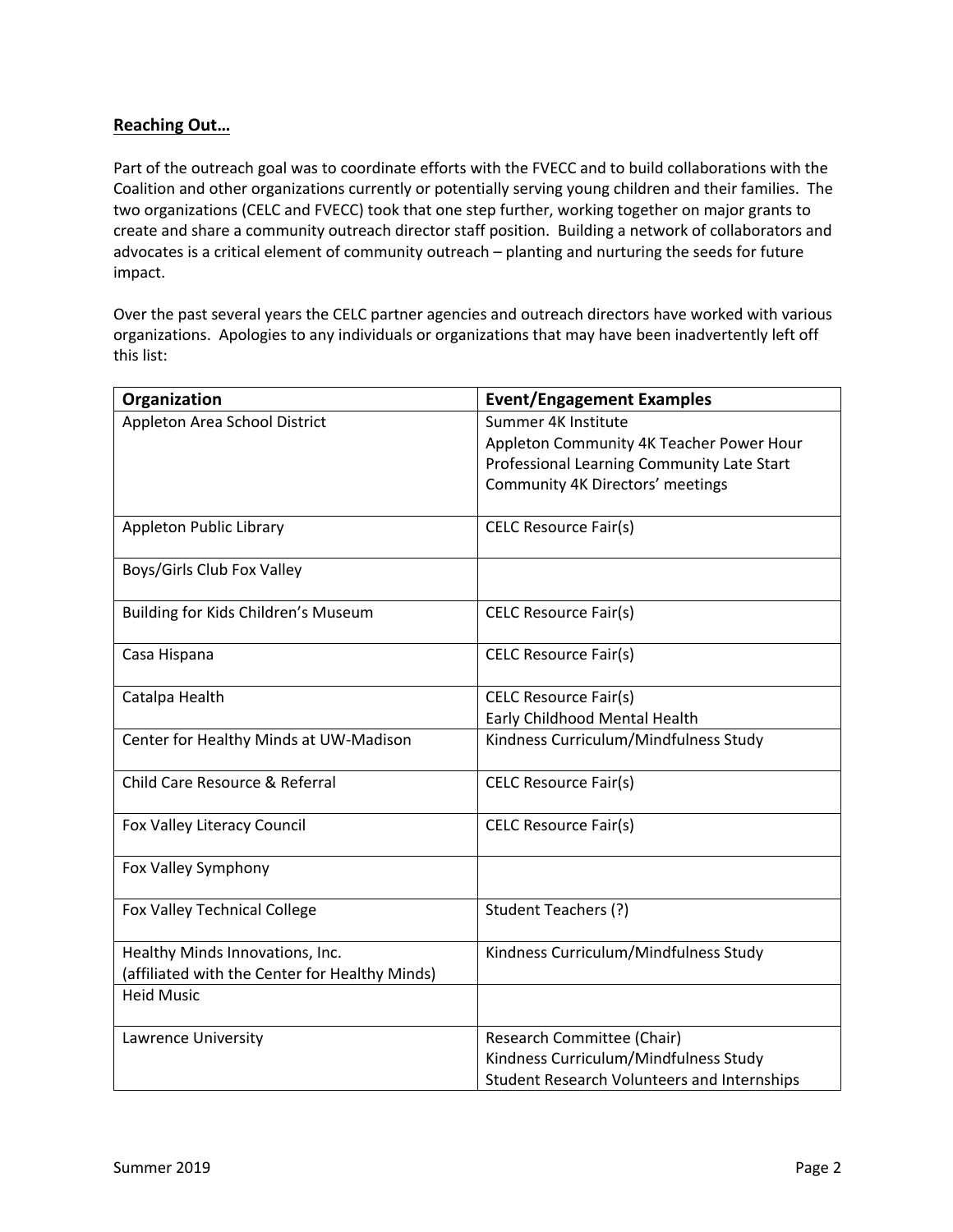## **Reaching Out…**

Part of the outreach goal was to coordinate efforts with the FVECC and to build collaborations with the Coalition and other organizations currently or potentially serving young children and their families. The two organizations (CELC and FVECC) took that one step further, working together on major grants to create and share a community outreach director staff position. Building a network of collaborators and advocates is a critical element of community outreach – planting and nurturing the seeds for future impact.

Over the past several years the CELC partner agencies and outreach directors have worked with various organizations. Apologies to any individuals or organizations that may have been inadvertently left off this list:

| Organization                                   | <b>Event/Engagement Examples</b>                   |
|------------------------------------------------|----------------------------------------------------|
| Appleton Area School District                  | Summer 4K Institute                                |
|                                                | Appleton Community 4K Teacher Power Hour           |
|                                                | Professional Learning Community Late Start         |
|                                                | Community 4K Directors' meetings                   |
|                                                |                                                    |
| Appleton Public Library                        | <b>CELC Resource Fair(s)</b>                       |
| Boys/Girls Club Fox Valley                     |                                                    |
| Building for Kids Children's Museum            | <b>CELC Resource Fair(s)</b>                       |
|                                                |                                                    |
| Casa Hispana                                   | <b>CELC Resource Fair(s)</b>                       |
|                                                |                                                    |
| Catalpa Health                                 | <b>CELC Resource Fair(s)</b>                       |
|                                                | Early Childhood Mental Health                      |
| Center for Healthy Minds at UW-Madison         | Kindness Curriculum/Mindfulness Study              |
| Child Care Resource & Referral                 | <b>CELC Resource Fair(s)</b>                       |
|                                                |                                                    |
| Fox Valley Literacy Council                    | <b>CELC Resource Fair(s)</b>                       |
|                                                |                                                    |
| Fox Valley Symphony                            |                                                    |
|                                                |                                                    |
| <b>Fox Valley Technical College</b>            | Student Teachers (?)                               |
| Healthy Minds Innovations, Inc.                | Kindness Curriculum/Mindfulness Study              |
| (affiliated with the Center for Healthy Minds) |                                                    |
| <b>Heid Music</b>                              |                                                    |
|                                                |                                                    |
| Lawrence University                            | Research Committee (Chair)                         |
|                                                | Kindness Curriculum/Mindfulness Study              |
|                                                | <b>Student Research Volunteers and Internships</b> |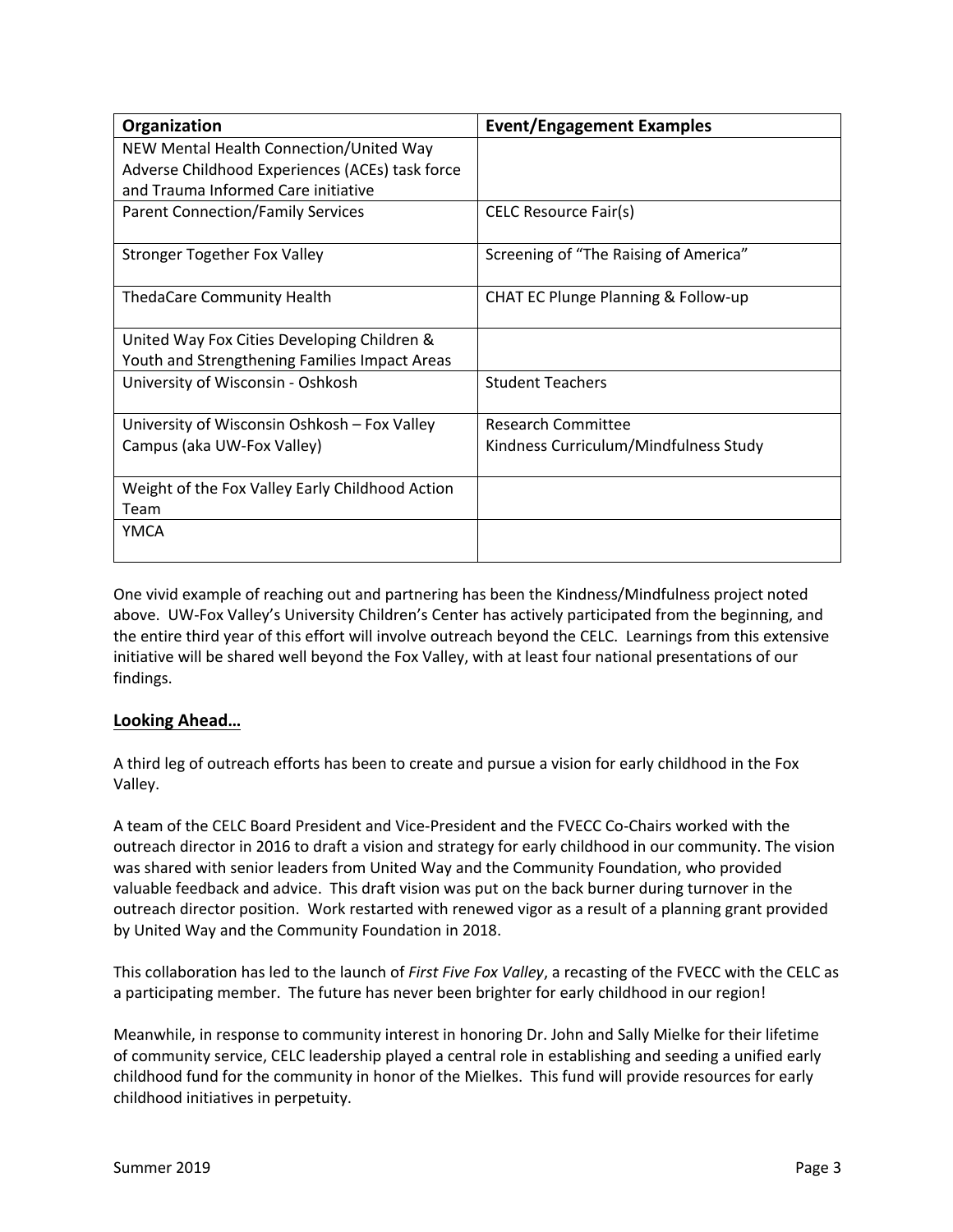| Organization                                    | <b>Event/Engagement Examples</b>      |
|-------------------------------------------------|---------------------------------------|
| NEW Mental Health Connection/United Way         |                                       |
| Adverse Childhood Experiences (ACEs) task force |                                       |
| and Trauma Informed Care initiative             |                                       |
| <b>Parent Connection/Family Services</b>        | <b>CELC Resource Fair(s)</b>          |
| <b>Stronger Together Fox Valley</b>             | Screening of "The Raising of America" |
| <b>ThedaCare Community Health</b>               | CHAT EC Plunge Planning & Follow-up   |
| United Way Fox Cities Developing Children &     |                                       |
| Youth and Strengthening Families Impact Areas   |                                       |
| University of Wisconsin - Oshkosh               | <b>Student Teachers</b>               |
| University of Wisconsin Oshkosh - Fox Valley    | <b>Research Committee</b>             |
| Campus (aka UW-Fox Valley)                      | Kindness Curriculum/Mindfulness Study |
| Weight of the Fox Valley Early Childhood Action |                                       |
| Team                                            |                                       |
| YMCA                                            |                                       |

One vivid example of reaching out and partnering has been the Kindness/Mindfulness project noted above. UW-Fox Valley's University Children's Center has actively participated from the beginning, and the entire third year of this effort will involve outreach beyond the CELC. Learnings from this extensive initiative will be shared well beyond the Fox Valley, with at least four national presentations of our findings.

## **Looking Ahead…**

A third leg of outreach efforts has been to create and pursue a vision for early childhood in the Fox Valley.

A team of the CELC Board President and Vice-President and the FVECC Co-Chairs worked with the outreach director in 2016 to draft a vision and strategy for early childhood in our community. The vision was shared with senior leaders from United Way and the Community Foundation, who provided valuable feedback and advice. This draft vision was put on the back burner during turnover in the outreach director position. Work restarted with renewed vigor as a result of a planning grant provided by United Way and the Community Foundation in 2018.

This collaboration has led to the launch of *First Five Fox Valley*, a recasting of the FVECC with the CELC as a participating member. The future has never been brighter for early childhood in our region!

Meanwhile, in response to community interest in honoring Dr. John and Sally Mielke for their lifetime of community service, CELC leadership played a central role in establishing and seeding a unified early childhood fund for the community in honor of the Mielkes. This fund will provide resources for early childhood initiatives in perpetuity.